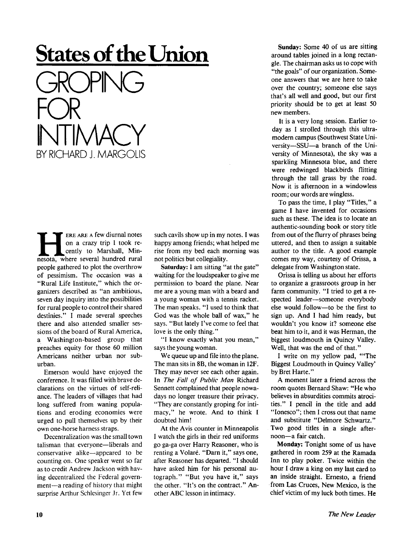## **States of the Union**

GROPING FOR INTIMACY BY RICHARD J. MARGOLIS

**HERE ARE A few diurnal notes**<br>on a crazy trip I took re-<br>cently to Marshall, Min-<br>nesota, where several hundred rural ERE ARE A few diurnal notes on a crazy trip I took recently to Marshall, Min people gathered to plot the overthrow of pessimism. The occasion was a "Rural Life Institute," which the organizers described as "an ambitious, seven day inquiry into the possibilities for rural people to control their shared destinies." I made several speeches there and also attended smaller sessions of the board of Rural America, a Washington-based group that preaches equity for those 60 million Americans neither urban nor suburban.

Emerson would have enjoyed the conference. It was filled with brave declarations on the virtues of self-reliance. The leaders of villages that had long suffered from waning populations and eroding economies were urged to pull themselves up by their own one-horse harness straps.

Decentralization was the small town talisman that everyone—liberals and conservative alike—appeared to be counting on. One speaker went so far as to credit Andrew Jackson with having decentralized the Federal government—a reading of history that might surprise Arthur Schlesinger Jr. Yet few such cavils show up in my notes. I was happy among friends; what helped me rise from my bed each morning was not politics but collegiality.

**Saturday:** I am sitting "at the gate" waiting for the loudspeaker to give me permission to board the plane. Near me are a young man with a beard and a young woman with a tennis racket. The man speaks. "I used to think that God was the whole ball of wax," he says. "But lately I've come to feel that love is the only thing."

"I know exactly what you mean," says the young woman.

We queue up and file into the plane. The man sits in 8B, the woman in 12F. They may never see each other again. In *The Fall of Public Man* Richard Sennett complained that people nowadays no longer treasure their privacy. "They are constantly groping for intimacy," he wrote. And to think I doubted him!

At the Avis counter in Minneapolis I watch the girls in their red uniforms go ga-ga over Harry Reasoner, who is renting a Volaré. "Darn it," says one, after Reasoner has departed. "I should have asked him for his personal autograph." "But you have it," says the other. "It's on the contract." An other ABC lesson in intimacy.

**Sunday:** Some 40 of us are sitting around tables joined in a long rectangle. The chairman asks us to cope with "the goals" of our organization. Someone answers that we are here to take over the country; someone else says that's all well and good, but our first priority should be to get at least 50 new members.

It is a very long session. Earlier today as I strolled through this ultramodern campus (Southwest State University—SSU—a branch of the University of Minnesota), the sky was a sparkling Minnesota blue, and there were redwinged blackbirds flitting through the tall grass by the road. Now it is afternoon in a windowless room; our words are wingless.

To pass the time, I play "Titles," a game I have invented for occasions such as these. The idea is to locate an authentic-sounding book or story title from out of the flurry of phrases being uttered, and then to assign a suitable author to the title. A good example comes my way, courtesy of Orissa, a delegate from Washington state.

Orissa is telling us about her efforts to organize a grassroots group in her farm community. "I tried to get a respected leader—someone everybody else would follow—to be the first to sign up. And I had him ready, but wouldn't you know it? someone else beat him to it, and it was Herman, the biggest loudmouth in Quincy Valley. Well, that was the end of that."

I write on my yellow pad, '"The Biggest Loudmouth in Quincy Valley' by Bret Harte."

A moment later a friend across the room quotes Bernard Shaw: "He who believes in absurdities commits atrocities." I pencil in the title and add "Ionesco"; then I cross out that name and substitute "Delmore Schwartz." Two good titles in a single afternoon—a fair catch.

**Monday:** Tonight some of us have gathered in room 259 at the Ramada Inn to play poker. Twice within the hour I draw a king on my last card to an inside straight. Ernesto, a friend from Las Cruces, New Mexico, is the chief victim of my luck both times. He